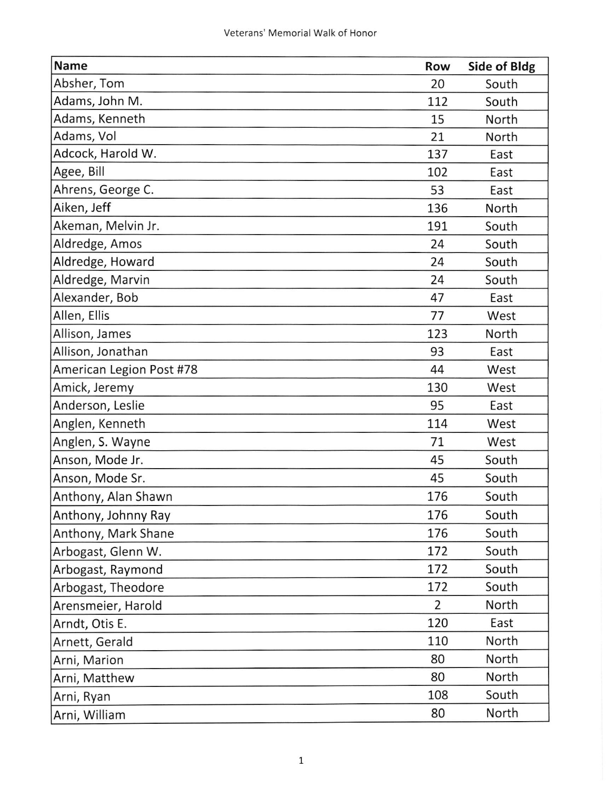| <b>Name</b>              | Row | Side of Bldg |
|--------------------------|-----|--------------|
| Absher, Tom              | 20  | South        |
| Adams, John M.           | 112 | South        |
| Adams, Kenneth           | 15  | North        |
| Adams, Vol               | 21  | North        |
| Adcock, Harold W.        | 137 | East         |
| Agee, Bill               | 102 | East         |
| Ahrens, George C.        | 53  | East         |
| Aiken, Jeff              | 136 | North        |
| Akeman, Melvin Jr.       | 191 | South        |
| Aldredge, Amos           | 24  | South        |
| Aldredge, Howard         | 24  | South        |
| Aldredge, Marvin         | 24  | South        |
| Alexander, Bob           | 47  | East         |
| Allen, Ellis             | 77  | West         |
| Allison, James           | 123 | North        |
| Allison, Jonathan        | 93  | East         |
| American Legion Post #78 | 44  | West         |
| Amick, Jeremy            | 130 | West         |
| Anderson, Leslie         | 95  | East         |
| Anglen, Kenneth          | 114 | West         |
| Anglen, S. Wayne         | 71  | West         |
| Anson, Mode Jr.          | 45  | South        |
| Anson, Mode Sr.          | 45  | South        |
| Anthony, Alan Shawn      | 176 | South        |
| Anthony, Johnny Ray      | 176 | South        |
| Anthony, Mark Shane      | 176 | South        |
| Arbogast, Glenn W.       | 172 | South        |
| Arbogast, Raymond        | 172 | South        |
| Arbogast, Theodore       | 172 | South        |
| Arensmeier, Harold       | 2   | North        |
| Arndt, Otis E.           | 120 | East         |
| Arnett, Gerald           | 110 | North        |
| Arni, Marion             | 80  | North        |
| Arni, Matthew            | 80  | North        |
| Arni, Ryan               | 108 | South        |
| Arni, William            | 80  | North        |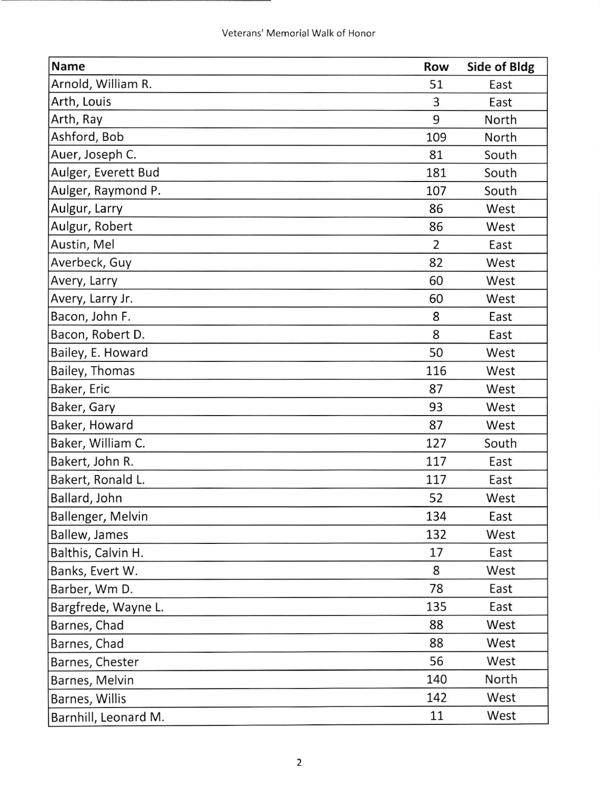| <b>Name</b>          | Row            | Side of Bldg |
|----------------------|----------------|--------------|
| Arnold, William R.   | 51             | East         |
| Arth, Louis          | 3              | East         |
| Arth, Ray            | 9              | North        |
| Ashford, Bob         | 109            | North        |
| Auer, Joseph C.      | 81             | South        |
| Aulger, Everett Bud  | 181            | South        |
| Aulger, Raymond P.   | 107            | South        |
| Aulgur, Larry        | 86             | West         |
| Aulgur, Robert       | 86             | West         |
| Austin, Mel          | $\overline{2}$ | East         |
| Averbeck, Guy        | 82             | West         |
| Avery, Larry         | 60             | West         |
| Avery, Larry Jr.     | 60             | West         |
| Bacon, John F.       | 8              | East         |
| Bacon, Robert D.     | 8              | East         |
| Bailey, E. Howard    | 50             | West         |
| Bailey, Thomas       | 116            | West         |
| Baker, Eric          | 87             | West         |
| Baker, Gary          | 93             | West         |
| Baker, Howard        | 87             | West         |
| Baker, William C.    | 127            | South        |
| Bakert, John R.      | 117            | East         |
| Bakert, Ronald L.    | 117            | East         |
| Ballard, John        | 52             | West         |
| Ballenger, Melvin    | 134            | East         |
| Ballew, James        | 132            | West         |
| Balthis, Calvin H.   | 17             | East         |
| Banks, Evert W.      | 8              | West         |
| Barber, Wm D.        | 78             | East         |
| Bargfrede, Wayne L.  | 135            | East         |
| Barnes, Chad         | 88             | West         |
| Barnes, Chad         | 88             | West         |
| Barnes, Chester      | 56             | West         |
| Barnes, Melvin       | 140            | North        |
| Barnes, Willis       | 142            | West         |
| Barnhill, Leonard M. | 11             | West         |